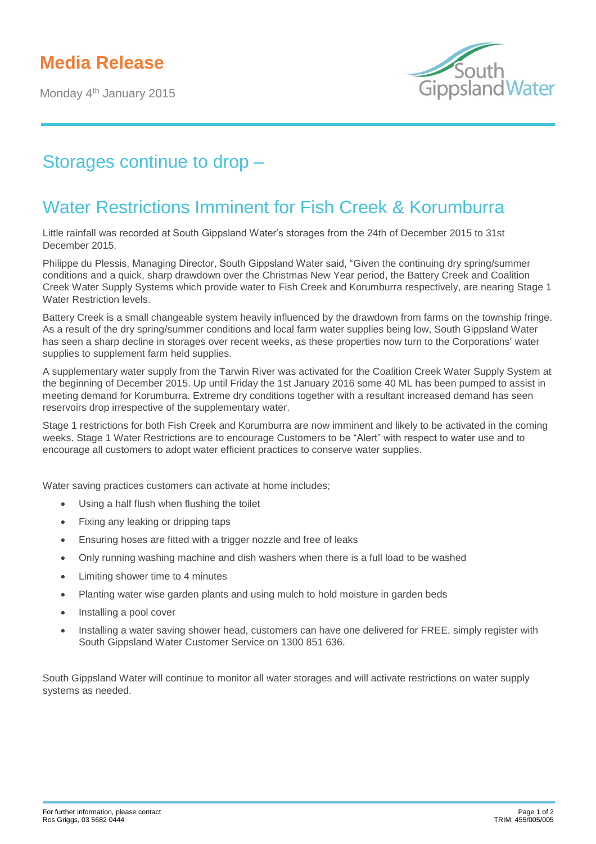## **Media Release**

Monday 4<sup>th</sup> January 2015



## Storages continue to drop –

## Water Restrictions Imminent for Fish Creek & Korumburra

Little rainfall was recorded at South Gippsland Water's storages from the 24th of December 2015 to 31st December 2015.

Philippe du Plessis, Managing Director, South Gippsland Water said, "Given the continuing dry spring/summer conditions and a quick, sharp drawdown over the Christmas New Year period, the Battery Creek and Coalition Creek Water Supply Systems which provide water to Fish Creek and Korumburra respectively, are nearing Stage 1 Water Restriction levels.

Battery Creek is a small changeable system heavily influenced by the drawdown from farms on the township fringe. As a result of the dry spring/summer conditions and local farm water supplies being low, South Gippsland Water has seen a sharp decline in storages over recent weeks, as these properties now turn to the Corporations' water supplies to supplement farm held supplies.

A supplementary water supply from the Tarwin River was activated for the Coalition Creek Water Supply System at the beginning of December 2015. Up until Friday the 1st January 2016 some 40 ML has been pumped to assist in meeting demand for Korumburra. Extreme dry conditions together with a resultant increased demand has seen reservoirs drop irrespective of the supplementary water.

Stage 1 restrictions for both Fish Creek and Korumburra are now imminent and likely to be activated in the coming weeks. Stage 1 Water Restrictions are to encourage Customers to be "Alert" with respect to water use and to encourage all customers to adopt water efficient practices to conserve water supplies.

Water saving practices customers can activate at home includes;

- Using a half flush when flushing the toilet
- Fixing any leaking or dripping taps
- Ensuring hoses are fitted with a trigger nozzle and free of leaks
- Only running washing machine and dish washers when there is a full load to be washed
- Limiting shower time to 4 minutes
- Planting water wise garden plants and using mulch to hold moisture in garden beds
- Installing a pool cover
- Installing a water saving shower head, customers can have one delivered for FREE, simply register with South Gippsland Water Customer Service on 1300 851 636.

South Gippsland Water will continue to monitor all water storages and will activate restrictions on water supply systems as needed.